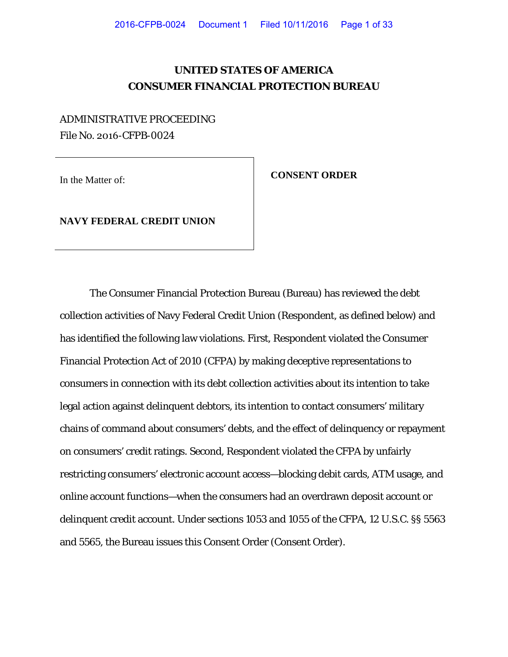# **UNITED STATES OF AMERICA CONSUMER FINANCIAL PROTECTION BUREAU**

# ADMINISTRATIVE PROCEEDING File No. 2016-CFPB-0024

In the Matter of: **CONSENT ORDER** 

**NAVY FEDERAL CREDIT UNION**

The Consumer Financial Protection Bureau (Bureau) has reviewed the debt collection activities of Navy Federal Credit Union (Respondent, as defined below) and has identified the following law violations. First, Respondent violated the Consumer Financial Protection Act of 2010 (CFPA) by making deceptive representations to consumers in connection with its debt collection activities about its intention to take legal action against delinquent debtors, its intention to contact consumers' military chains of command about consumers' debts, and the effect of delinquency or repayment on consumers' credit ratings. Second, Respondent violated the CFPA by unfairly restricting consumers' electronic account access—blocking debit cards, ATM usage, and online account functions—when the consumers had an overdrawn deposit account or delinquent credit account. Under sections 1053 and 1055 of the CFPA, 12 U.S.C. §§ 5563 and 5565, the Bureau issues this Consent Order (Consent Order).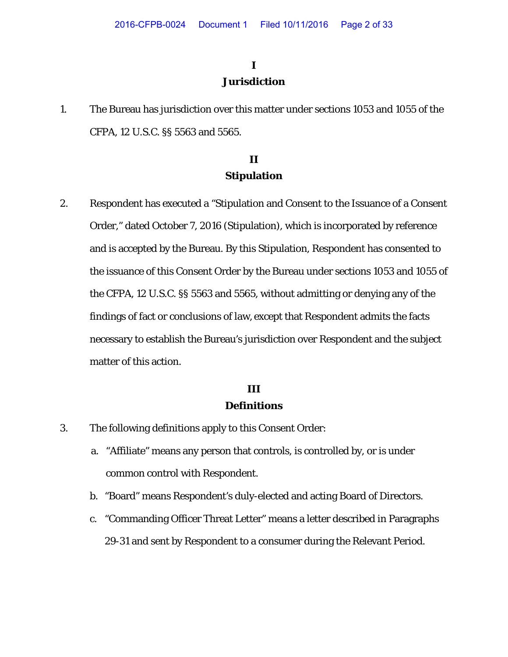# **I**

### **Jurisdiction**

1. The Bureau has jurisdiction over this matter under sections 1053 and 1055 of the CFPA, 12 U.S.C. §§ 5563 and 5565.

# **II Stipulation**

2. Respondent has executed a "Stipulation and Consent to the Issuance of a Consent Order," dated October 7, 2016 (Stipulation), which is incorporated by reference and is accepted by the Bureau. By this Stipulation, Respondent has consented to the issuance of this Consent Order by the Bureau under sections 1053 and 1055 of the CFPA, 12 U.S.C. §§ 5563 and 5565, without admitting or denying any of the findings of fact or conclusions of law, except that Respondent admits the facts necessary to establish the Bureau's jurisdiction over Respondent and the subject matter of this action.

# **III**

### **Definitions**

- 3. The following definitions apply to this Consent Order:
	- a. "Affiliate" means any person that controls, is controlled by, or is under common control with Respondent.
	- b. "Board" means Respondent's duly-elected and acting Board of Directors.
	- c. "Commanding Officer Threat Letter" means a letter described in Paragraphs 29-31 and sent by Respondent to a consumer during the Relevant Period.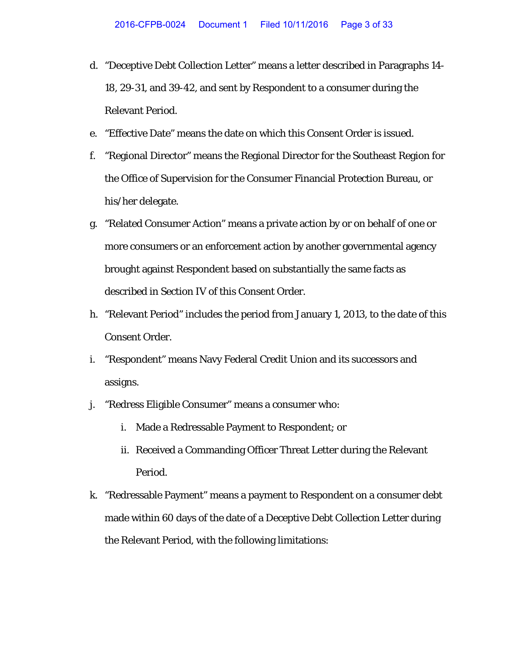- d. "Deceptive Debt Collection Letter" means a letter described in Paragraphs 14- 18, 29-31, and 39-42, and sent by Respondent to a consumer during the Relevant Period.
- e. "Effective Date" means the date on which this Consent Order is issued.
- f. "Regional Director" means the Regional Director for the Southeast Region for the Office of Supervision for the Consumer Financial Protection Bureau, or his/her delegate.
- g. "Related Consumer Action" means a private action by or on behalf of one or more consumers or an enforcement action by another governmental agency brought against Respondent based on substantially the same facts as described in Section IV of this Consent Order.
- h. "Relevant Period" includes the period from January 1, 2013, to the date of this Consent Order.
- i. "Respondent" means Navy Federal Credit Union and its successors and assigns.
- j. "Redress Eligible Consumer" means a consumer who:
	- i. Made a Redressable Payment to Respondent; or
	- ii. Received a Commanding Officer Threat Letter during the Relevant Period.
- k. "Redressable Payment" means a payment to Respondent on a consumer debt made within 60 days of the date of a Deceptive Debt Collection Letter during the Relevant Period, with the following limitations: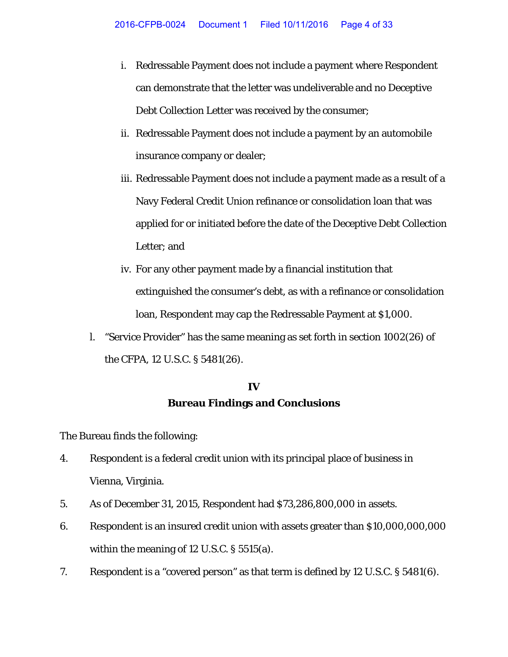- i. Redressable Payment does not include a payment where Respondent can demonstrate that the letter was undeliverable and no Deceptive Debt Collection Letter was received by the consumer;
- ii. Redressable Payment does not include a payment by an automobile insurance company or dealer;
- iii. Redressable Payment does not include a payment made as a result of a Navy Federal Credit Union refinance or consolidation loan that was applied for or initiated before the date of the Deceptive Debt Collection Letter; and
- iv. For any other payment made by a financial institution that extinguished the consumer's debt, as with a refinance or consolidation loan, Respondent may cap the Redressable Payment at \$1,000.
- l. "Service Provider" has the same meaning as set forth in section 1002(26) of the CFPA, 12 U.S.C. § 5481(26).

# **IV Bureau Findings and Conclusions**

The Bureau finds the following:

- 4. Respondent is a federal credit union with its principal place of business in Vienna, Virginia.
- 5. As of December 31, 2015, Respondent had \$73,286,800,000 in assets.
- 6. Respondent is an insured credit union with assets greater than \$10,000,000,000 within the meaning of 12 U.S.C. § 5515(a).
- 7. Respondent is a "covered person" as that term is defined by 12 U.S.C. § 5481(6).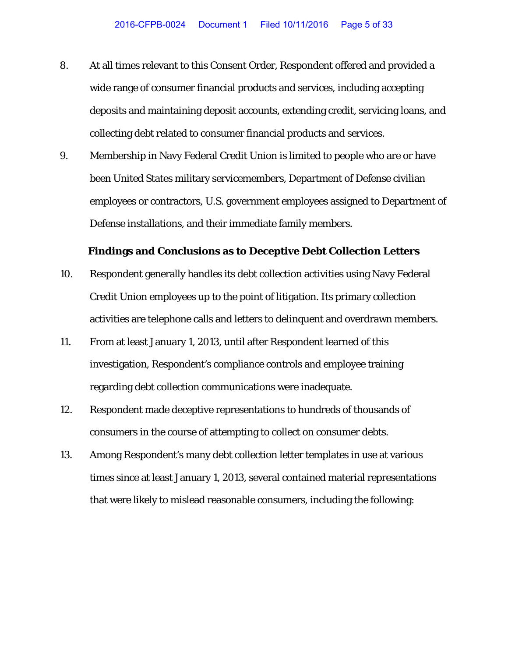- 8. At all times relevant to this Consent Order, Respondent offered and provided a wide range of consumer financial products and services, including accepting deposits and maintaining deposit accounts, extending credit, servicing loans, and collecting debt related to consumer financial products and services.
- 9. Membership in Navy Federal Credit Union is limited to people who are or have been United States military servicemembers, Department of Defense civilian employees or contractors, U.S. government employees assigned to Department of Defense installations, and their immediate family members.

#### **Findings and Conclusions as to Deceptive Debt Collection Letters**

- 10. Respondent generally handles its debt collection activities using Navy Federal Credit Union employees up to the point of litigation. Its primary collection activities are telephone calls and letters to delinquent and overdrawn members.
- 11. From at least January 1, 2013, until after Respondent learned of this investigation, Respondent's compliance controls and employee training regarding debt collection communications were inadequate.
- 12. Respondent made deceptive representations to hundreds of thousands of consumers in the course of attempting to collect on consumer debts.
- 13. Among Respondent's many debt collection letter templates in use at various times since at least January 1, 2013, several contained material representations that were likely to mislead reasonable consumers, including the following: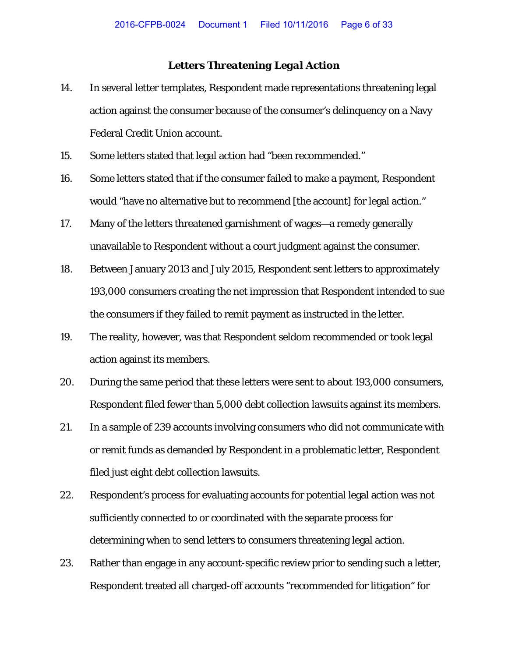### *Letters Threatening Legal Action*

- 14. In several letter templates, Respondent made representations threatening legal action against the consumer because of the consumer's delinquency on a Navy Federal Credit Union account.
- 15. Some letters stated that legal action had "been recommended."
- 16. Some letters stated that if the consumer failed to make a payment, Respondent would "have no alternative but to recommend [the account] for legal action."
- 17. Many of the letters threatened garnishment of wages—a remedy generally unavailable to Respondent without a court judgment against the consumer.
- 18. Between January 2013 and July 2015, Respondent sent letters to approximately 193,000 consumers creating the net impression that Respondent intended to sue the consumers if they failed to remit payment as instructed in the letter.
- 19. The reality, however, was that Respondent seldom recommended or took legal action against its members.
- 20. During the same period that these letters were sent to about 193,000 consumers, Respondent filed fewer than 5,000 debt collection lawsuits against its members.
- 21. In a sample of 239 accounts involving consumers who did not communicate with or remit funds as demanded by Respondent in a problematic letter, Respondent filed just eight debt collection lawsuits.
- 22. Respondent's process for evaluating accounts for potential legal action was not sufficiently connected to or coordinated with the separate process for determining when to send letters to consumers threatening legal action.
- 23. Rather than engage in any account-specific review prior to sending such a letter, Respondent treated all charged-off accounts "recommended for litigation" for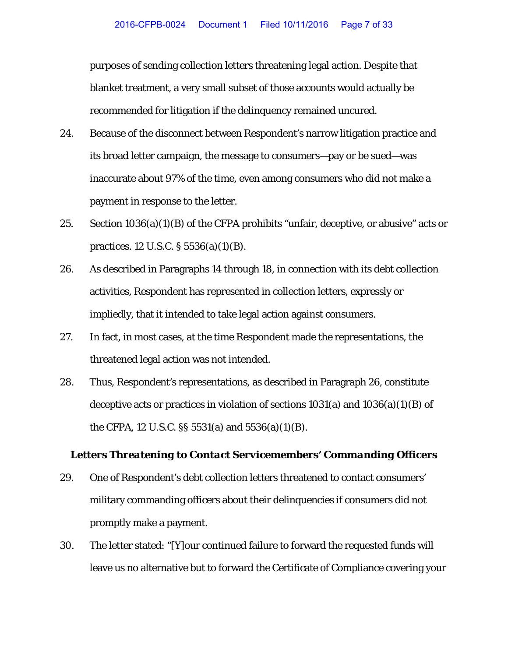purposes of sending collection letters threatening legal action. Despite that blanket treatment, a very small subset of those accounts would actually be recommended for litigation if the delinquency remained uncured.

- 24. Because of the disconnect between Respondent's narrow litigation practice and its broad letter campaign, the message to consumers—pay or be sued—was inaccurate about 97% of the time, even among consumers who did not make a payment in response to the letter.
- 25. Section 1036(a)(1)(B) of the CFPA prohibits "unfair, deceptive, or abusive" acts or practices. 12 U.S.C. § 5536(a)(1)(B).
- 26. As described in Paragraphs 14 through 18, in connection with its debt collection activities, Respondent has represented in collection letters, expressly or impliedly, that it intended to take legal action against consumers.
- 27. In fact, in most cases, at the time Respondent made the representations, the threatened legal action was not intended.
- 28. Thus, Respondent's representations, as described in Paragraph 26, constitute deceptive acts or practices in violation of sections  $1031(a)$  and  $1036(a)(1)(B)$  of the CFPA, 12 U.S.C. §§ 5531(a) and 5536(a)(1)(B).

#### *Letters Threatening to Contact Servicemembers' Commanding Officers*

- 29. One of Respondent's debt collection letters threatened to contact consumers' military commanding officers about their delinquencies if consumers did not promptly make a payment.
- 30. The letter stated: "[Y]our continued failure to forward the requested funds will leave us no alternative but to forward the Certificate of Compliance covering your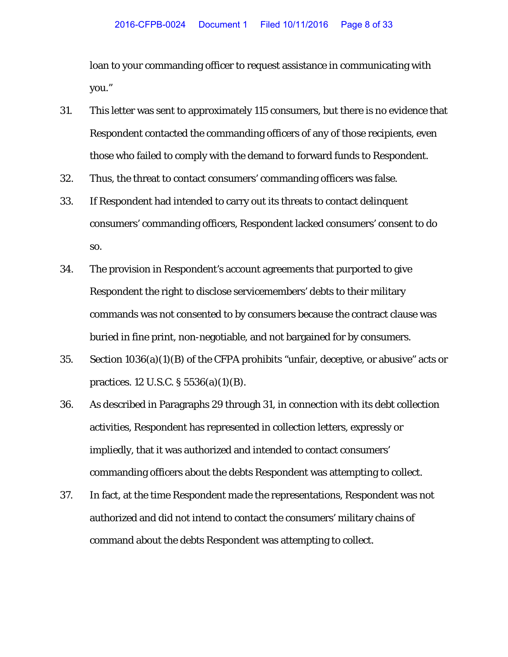loan to your commanding officer to request assistance in communicating with you."

- 31. This letter was sent to approximately 115 consumers, but there is no evidence that Respondent contacted the commanding officers of any of those recipients, even those who failed to comply with the demand to forward funds to Respondent.
- 32. Thus, the threat to contact consumers' commanding officers was false.
- 33. If Respondent had intended to carry out its threats to contact delinquent consumers' commanding officers, Respondent lacked consumers' consent to do so.
- 34. The provision in Respondent's account agreements that purported to give Respondent the right to disclose servicemembers' debts to their military commands was not consented to by consumers because the contract clause was buried in fine print, non-negotiable, and not bargained for by consumers.
- 35. Section 1036(a)(1)(B) of the CFPA prohibits "unfair, deceptive, or abusive" acts or practices. 12 U.S.C. § 5536(a)(1)(B).
- 36. As described in Paragraphs 29 through 31, in connection with its debt collection activities, Respondent has represented in collection letters, expressly or impliedly, that it was authorized and intended to contact consumers' commanding officers about the debts Respondent was attempting to collect.
- 37. In fact, at the time Respondent made the representations, Respondent was not authorized and did not intend to contact the consumers' military chains of command about the debts Respondent was attempting to collect.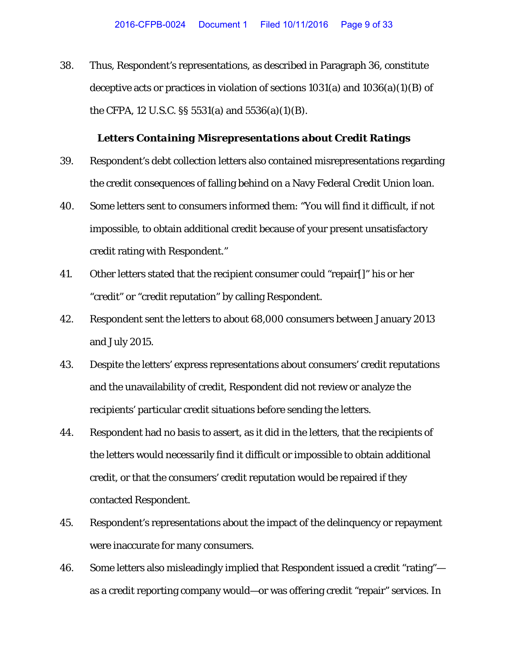38. Thus, Respondent's representations, as described in Paragraph 36, constitute deceptive acts or practices in violation of sections 1031(a) and 1036(a)(1)(B) of the CFPA, 12 U.S.C. §§ 5531(a) and 5536(a)(1)(B).

#### *Letters Containing Misrepresentations about Credit Ratings*

- 39. Respondent's debt collection letters also contained misrepresentations regarding the credit consequences of falling behind on a Navy Federal Credit Union loan.
- 40. Some letters sent to consumers informed them: "You will find it difficult, if not impossible, to obtain additional credit because of your present unsatisfactory credit rating with Respondent."
- 41. Other letters stated that the recipient consumer could "repair[]" his or her "credit" or "credit reputation" by calling Respondent.
- 42. Respondent sent the letters to about 68,000 consumers between January 2013 and July 2015.
- 43. Despite the letters' express representations about consumers' credit reputations and the unavailability of credit, Respondent did not review or analyze the recipients' particular credit situations before sending the letters.
- 44. Respondent had no basis to assert, as it did in the letters, that the recipients of the letters would necessarily find it difficult or impossible to obtain additional credit, or that the consumers' credit reputation would be repaired if they contacted Respondent.
- 45. Respondent's representations about the impact of the delinquency or repayment were inaccurate for many consumers.
- 46. Some letters also misleadingly implied that Respondent issued a credit "rating" as a credit reporting company would—or was offering credit "repair" services. In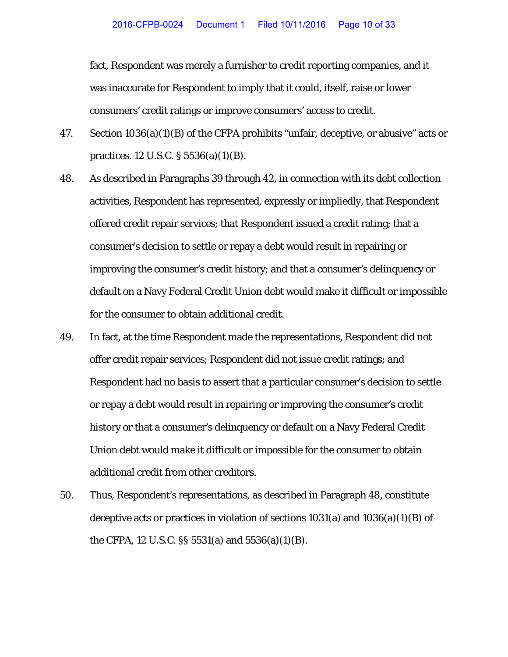fact, Respondent was merely a furnisher to credit reporting companies, and it was inaccurate for Respondent to imply that it could, itself, raise or lower consumers' credit ratings or improve consumers' access to credit.

- 47. Section 1036(a)(1)(B) of the CFPA prohibits "unfair, deceptive, or abusive" acts or practices. 12 U.S.C. § 5536(a)(1)(B).
- 48. As described in Paragraphs 39 through 42, in connection with its debt collection activities, Respondent has represented, expressly or impliedly, that Respondent offered credit repair services; that Respondent issued a credit rating; that a consumer's decision to settle or repay a debt would result in repairing or improving the consumer's credit history; and that a consumer's delinquency or default on a Navy Federal Credit Union debt would make it difficult or impossible for the consumer to obtain additional credit.
- 49. In fact, at the time Respondent made the representations, Respondent did not offer credit repair services; Respondent did not issue credit ratings; and Respondent had no basis to assert that a particular consumer's decision to settle or repay a debt would result in repairing or improving the consumer's credit history or that a consumer's delinquency or default on a Navy Federal Credit Union debt would make it difficult or impossible for the consumer to obtain additional credit from other creditors.
- 50. Thus, Respondent's representations, as described in Paragraph 48, constitute deceptive acts or practices in violation of sections  $1031(a)$  and  $1036(a)(1)(B)$  of the CFPA, 12 U.S.C. §§ 5531(a) and 5536(a)(1)(B).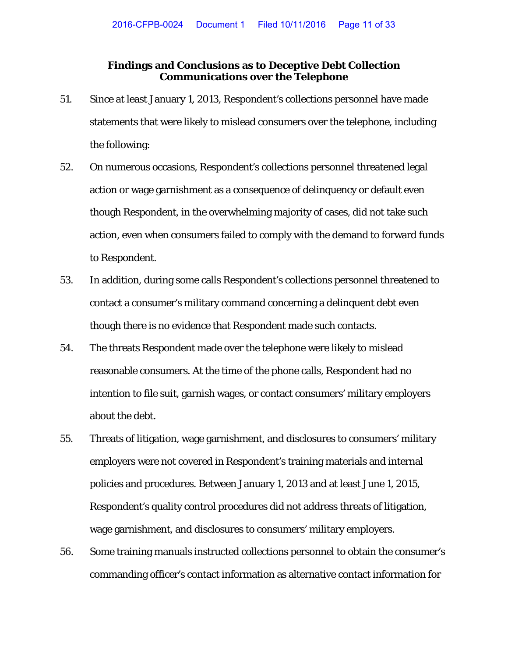### **Findings and Conclusions as to Deceptive Debt Collection Communications over the Telephone**

- 51. Since at least January 1, 2013, Respondent's collections personnel have made statements that were likely to mislead consumers over the telephone, including the following:
- 52. On numerous occasions, Respondent's collections personnel threatened legal action or wage garnishment as a consequence of delinquency or default even though Respondent, in the overwhelming majority of cases, did not take such action, even when consumers failed to comply with the demand to forward funds to Respondent.
- 53. In addition, during some calls Respondent's collections personnel threatened to contact a consumer's military command concerning a delinquent debt even though there is no evidence that Respondent made such contacts.
- 54. The threats Respondent made over the telephone were likely to mislead reasonable consumers. At the time of the phone calls, Respondent had no intention to file suit, garnish wages, or contact consumers' military employers about the debt.
- 55. Threats of litigation, wage garnishment, and disclosures to consumers' military employers were not covered in Respondent's training materials and internal policies and procedures. Between January 1, 2013 and at least June 1, 2015, Respondent's quality control procedures did not address threats of litigation, wage garnishment, and disclosures to consumers' military employers.
- 56. Some training manuals instructed collections personnel to obtain the consumer's commanding officer's contact information as alternative contact information for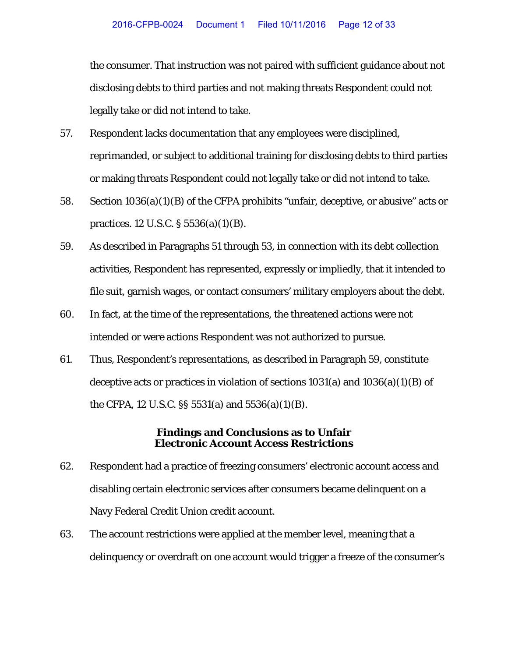the consumer. That instruction was not paired with sufficient guidance about not disclosing debts to third parties and not making threats Respondent could not legally take or did not intend to take.

- 57. Respondent lacks documentation that any employees were disciplined, reprimanded, or subject to additional training for disclosing debts to third parties or making threats Respondent could not legally take or did not intend to take.
- 58. Section 1036(a)(1)(B) of the CFPA prohibits "unfair, deceptive, or abusive" acts or practices. 12 U.S.C. § 5536(a)(1)(B).
- 59. As described in Paragraphs 51 through 53, in connection with its debt collection activities, Respondent has represented, expressly or impliedly, that it intended to file suit, garnish wages, or contact consumers' military employers about the debt.
- 60. In fact, at the time of the representations, the threatened actions were not intended or were actions Respondent was not authorized to pursue.
- 61. Thus, Respondent's representations, as described in Paragraph 59, constitute deceptive acts or practices in violation of sections  $1031(a)$  and  $1036(a)(1)(B)$  of the CFPA, 12 U.S.C. §§ 5531(a) and 5536(a)(1)(B).

### **Findings and Conclusions as to Unfair Electronic Account Access Restrictions**

- 62. Respondent had a practice of freezing consumers' electronic account access and disabling certain electronic services after consumers became delinquent on a Navy Federal Credit Union credit account.
- 63. The account restrictions were applied at the member level, meaning that a delinquency or overdraft on one account would trigger a freeze of the consumer's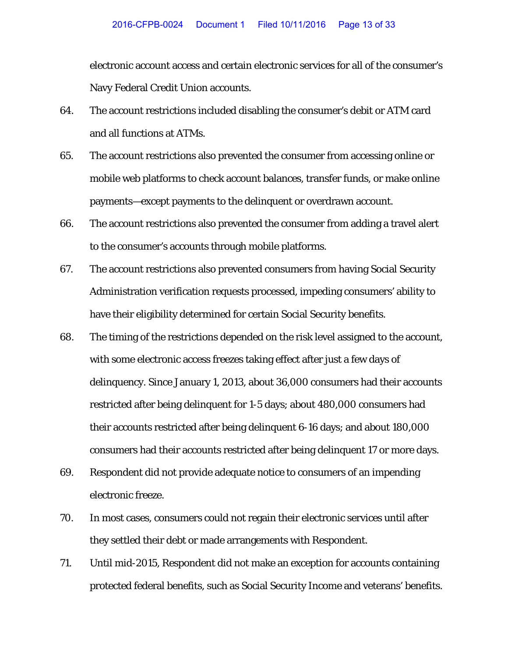electronic account access and certain electronic services for all of the consumer's Navy Federal Credit Union accounts.

- 64. The account restrictions included disabling the consumer's debit or ATM card and all functions at ATMs.
- 65. The account restrictions also prevented the consumer from accessing online or mobile web platforms to check account balances, transfer funds, or make online payments—except payments to the delinquent or overdrawn account.
- 66. The account restrictions also prevented the consumer from adding a travel alert to the consumer's accounts through mobile platforms.
- 67. The account restrictions also prevented consumers from having Social Security Administration verification requests processed, impeding consumers' ability to have their eligibility determined for certain Social Security benefits.
- 68. The timing of the restrictions depended on the risk level assigned to the account, with some electronic access freezes taking effect after just a few days of delinquency. Since January 1, 2013, about 36,000 consumers had their accounts restricted after being delinquent for 1-5 days; about 480,000 consumers had their accounts restricted after being delinquent 6-16 days; and about 180,000 consumers had their accounts restricted after being delinquent 17 or more days.
- 69. Respondent did not provide adequate notice to consumers of an impending electronic freeze.
- 70. In most cases, consumers could not regain their electronic services until after they settled their debt or made arrangements with Respondent.
- 71. Until mid-2015, Respondent did not make an exception for accounts containing protected federal benefits, such as Social Security Income and veterans' benefits.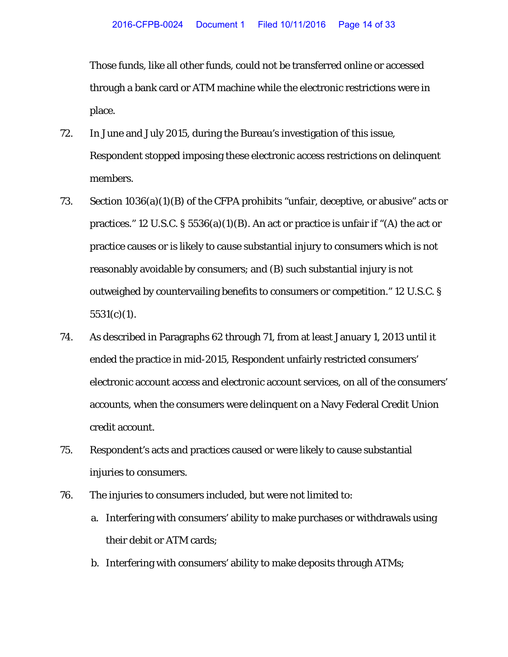Those funds, like all other funds, could not be transferred online or accessed through a bank card or ATM machine while the electronic restrictions were in place.

- 72. In June and July 2015, during the Bureau's investigation of this issue, Respondent stopped imposing these electronic access restrictions on delinquent members.
- 73. Section 1036(a)(1)(B) of the CFPA prohibits "unfair, deceptive, or abusive" acts or practices." 12 U.S.C.  $\S 5536(a)(1)(B)$ . An act or practice is unfair if "(A) the act or practice causes or is likely to cause substantial injury to consumers which is not reasonably avoidable by consumers; and (B) such substantial injury is not outweighed by countervailing benefits to consumers or competition." 12 U.S.C. §  $5531(c)(1)$ .
- 74. As described in Paragraphs 62 through 71, from at least January 1, 2013 until it ended the practice in mid-2015, Respondent unfairly restricted consumers' electronic account access and electronic account services, on all of the consumers' accounts, when the consumers were delinquent on a Navy Federal Credit Union credit account.
- 75. Respondent's acts and practices caused or were likely to cause substantial injuries to consumers.
- 76. The injuries to consumers included, but were not limited to:
	- a. Interfering with consumers' ability to make purchases or withdrawals using their debit or ATM cards;
	- b. Interfering with consumers' ability to make deposits through ATMs;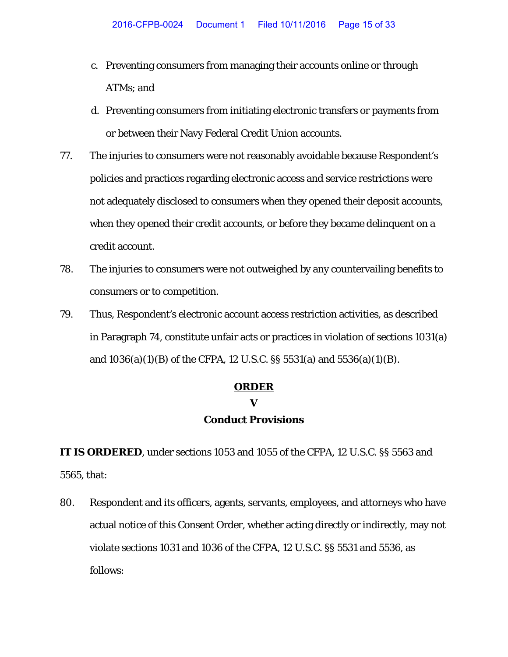- c. Preventing consumers from managing their accounts online or through ATMs; and
- d. Preventing consumers from initiating electronic transfers or payments from or between their Navy Federal Credit Union accounts.
- 77. The injuries to consumers were not reasonably avoidable because Respondent's policies and practices regarding electronic access and service restrictions were not adequately disclosed to consumers when they opened their deposit accounts, when they opened their credit accounts, or before they became delinquent on a credit account.
- 78. The injuries to consumers were not outweighed by any countervailing benefits to consumers or to competition.
- 79. Thus, Respondent's electronic account access restriction activities, as described in Paragraph 74, constitute unfair acts or practices in violation of sections 1031(a) and 1036(a)(1)(B) of the CFPA, 12 U.S.C. §§ 5531(a) and 5536(a)(1)(B).

### **ORDER**

#### **V**

### **Conduct Provisions**

**IT IS ORDERED**, under sections 1053 and 1055 of the CFPA, 12 U.S.C. §§ 5563 and 5565, that:

80. Respondent and its officers, agents, servants, employees, and attorneys who have actual notice of this Consent Order*,* whether acting directly or indirectly, may not violate sections 1031 and 1036 of the CFPA, 12 U.S.C. §§ 5531 and 5536, as follows: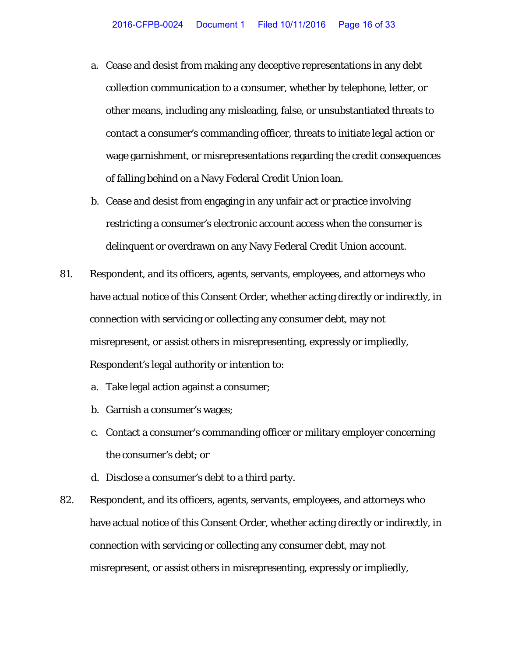- a. Cease and desist from making any deceptive representations in any debt collection communication to a consumer, whether by telephone, letter, or other means, including any misleading, false, or unsubstantiated threats to contact a consumer's commanding officer, threats to initiate legal action or wage garnishment, or misrepresentations regarding the credit consequences of falling behind on a Navy Federal Credit Union loan.
- b. Cease and desist from engaging in any unfair act or practice involving restricting a consumer's electronic account access when the consumer is delinquent or overdrawn on any Navy Federal Credit Union account.
- 81. Respondent, and its officers, agents, servants, employees, and attorneys who have actual notice of this Consent Order, whether acting directly or indirectly, in connection with servicing or collecting any consumer debt, may not misrepresent, or assist others in misrepresenting, expressly or impliedly, Respondent's legal authority or intention to:
	- a. Take legal action against a consumer;
	- b. Garnish a consumer's wages;
	- c. Contact a consumer's commanding officer or military employer concerning the consumer's debt; or
	- d. Disclose a consumer's debt to a third party.
- 82. Respondent, and its officers, agents, servants, employees, and attorneys who have actual notice of this Consent Order, whether acting directly or indirectly, in connection with servicing or collecting any consumer debt, may not misrepresent, or assist others in misrepresenting, expressly or impliedly,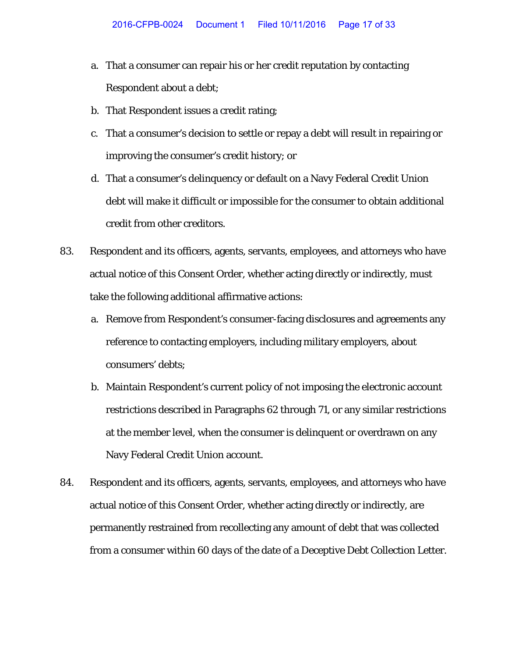- a. That a consumer can repair his or her credit reputation by contacting Respondent about a debt;
- b. That Respondent issues a credit rating;
- c. That a consumer's decision to settle or repay a debt will result in repairing or improving the consumer's credit history; or
- d. That a consumer's delinquency or default on a Navy Federal Credit Union debt will make it difficult or impossible for the consumer to obtain additional credit from other creditors.
- 83. Respondent and its officers, agents, servants, employees, and attorneys who have actual notice of this Consent Order*,* whether acting directly or indirectly, must take the following additional affirmative actions:
	- a. Remove from Respondent's consumer-facing disclosures and agreements any reference to contacting employers, including military employers, about consumers' debts;
	- b. Maintain Respondent's current policy of not imposing the electronic account restrictions described in Paragraphs 62 through 71, or any similar restrictions at the member level, when the consumer is delinquent or overdrawn on any Navy Federal Credit Union account.
- 84. Respondent and its officers, agents, servants, employees, and attorneys who have actual notice of this Consent Order*,* whether acting directly or indirectly, are permanently restrained from recollecting any amount of debt that was collected from a consumer within 60 days of the date of a Deceptive Debt Collection Letter.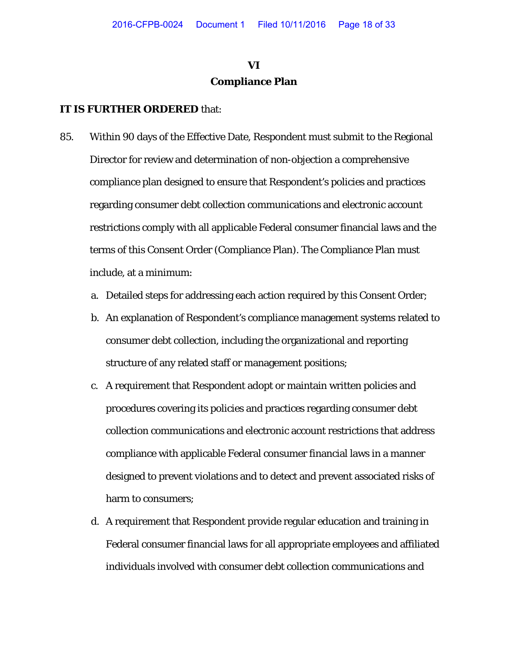# **VI Compliance Plan**

- 85. Within 90 days of the Effective Date, Respondent must submit to the Regional Director for review and determination of non-objection a comprehensive compliance plan designed to ensure that Respondent's policies and practices regarding consumer debt collection communications and electronic account restrictions comply with all applicable Federal consumer financial laws and the terms of this Consent Order (Compliance Plan). The Compliance Plan must include, at a minimum:
	- a. Detailed steps for addressing each action required by this Consent Order;
	- b. An explanation of Respondent's compliance management systems related to consumer debt collection, including the organizational and reporting structure of any related staff or management positions;
	- c. A requirement that Respondent adopt or maintain written policies and procedures covering its policies and practices regarding consumer debt collection communications and electronic account restrictions that address compliance with applicable Federal consumer financial laws in a manner designed to prevent violations and to detect and prevent associated risks of harm to consumers;
	- d. A requirement that Respondent provide regular education and training in Federal consumer financial laws for all appropriate employees and affiliated individuals involved with consumer debt collection communications and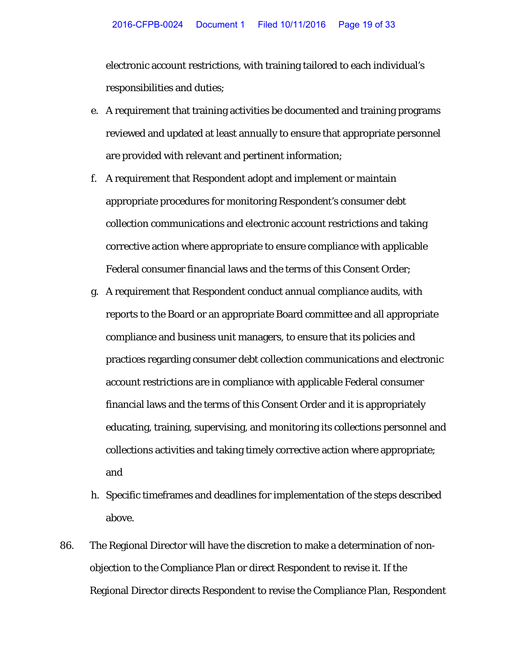electronic account restrictions, with training tailored to each individual's responsibilities and duties;

- e. A requirement that training activities be documented and training programs reviewed and updated at least annually to ensure that appropriate personnel are provided with relevant and pertinent information;
- f. A requirement that Respondent adopt and implement or maintain appropriate procedures for monitoring Respondent's consumer debt collection communications and electronic account restrictions and taking corrective action where appropriate to ensure compliance with applicable Federal consumer financial laws and the terms of this Consent Order;
- g. A requirement that Respondent conduct annual compliance audits, with reports to the Board or an appropriate Board committee and all appropriate compliance and business unit managers, to ensure that its policies and practices regarding consumer debt collection communications and electronic account restrictions are in compliance with applicable Federal consumer financial laws and the terms of this Consent Order and it is appropriately educating, training, supervising, and monitoring its collections personnel and collections activities and taking timely corrective action where appropriate; and
- h. Specific timeframes and deadlines for implementation of the steps described above.
- 86. The Regional Director will have the discretion to make a determination of nonobjection to the Compliance Plan or direct Respondent to revise it. If the Regional Director directs Respondent to revise the Compliance Plan, Respondent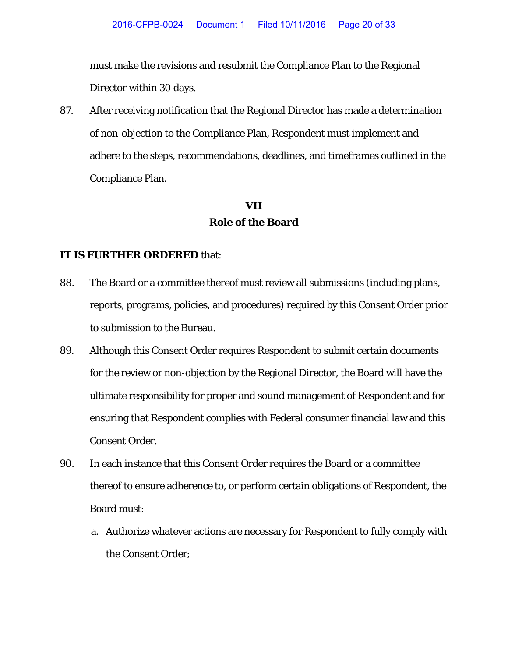must make the revisions and resubmit the Compliance Plan to the Regional Director within 30 days.

87. After receiving notification that the Regional Director has made a determination of non-objection to the Compliance Plan, Respondent must implement and adhere to the steps, recommendations, deadlines, and timeframes outlined in the Compliance Plan.

# **VII Role of the Board**

- 88. The Board or a committee thereof must review all submissions (including plans, reports, programs, policies, and procedures) required by this Consent Order prior to submission to the Bureau.
- 89. Although this Consent Order requires Respondent to submit certain documents for the review or non-objection by the Regional Director, the Board will have the ultimate responsibility for proper and sound management of Respondent and for ensuring that Respondent complies with Federal consumer financial law and this Consent Order.
- 90. In each instance that this Consent Order requires the Board or a committee thereof to ensure adherence to, or perform certain obligations of Respondent, the Board must:
	- a. Authorize whatever actions are necessary for Respondent to fully comply with the Consent Order;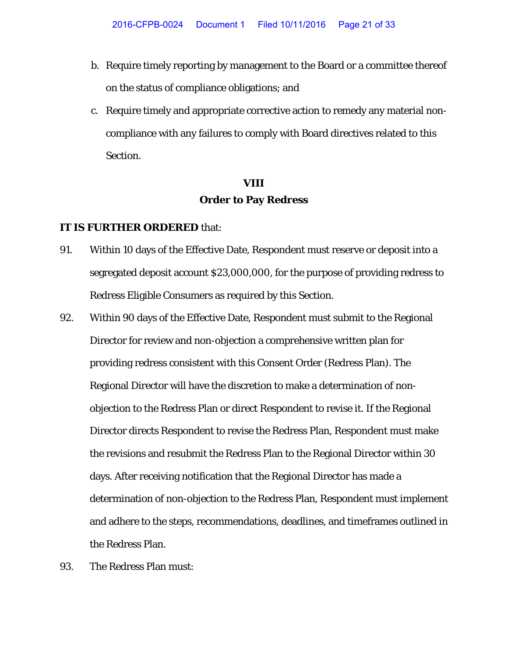- b. Require timely reporting by management to the Board or a committee thereof on the status of compliance obligations; and
- c. Require timely and appropriate corrective action to remedy any material noncompliance with any failures to comply with Board directives related to this Section.

# **VIII Order to Pay Redress**

- 91. Within 10 days of the Effective Date, Respondent must reserve or deposit into a segregated deposit account \$23,000,000, for the purpose of providing redress to Redress Eligible Consumers as required by this Section.
- 92. Within 90 days of the Effective Date, Respondent must submit to the Regional Director for review and non-objection a comprehensive written plan for providing redress consistent with this Consent Order (Redress Plan). The Regional Director will have the discretion to make a determination of nonobjection to the Redress Plan or direct Respondent to revise it. If the Regional Director directs Respondent to revise the Redress Plan, Respondent must make the revisions and resubmit the Redress Plan to the Regional Director within 30 days. After receiving notification that the Regional Director has made a determination of non-objection to the Redress Plan, Respondent must implement and adhere to the steps, recommendations, deadlines, and timeframes outlined in the Redress Plan.
- 93. The Redress Plan must: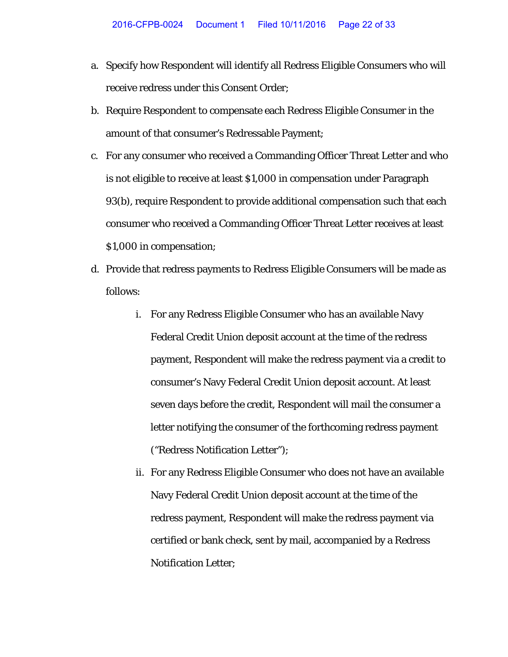- a. Specify how Respondent will identify all Redress Eligible Consumers who will receive redress under this Consent Order;
- b. Require Respondent to compensate each Redress Eligible Consumer in the amount of that consumer's Redressable Payment;
- c. For any consumer who received a Commanding Officer Threat Letter and who is not eligible to receive at least \$1,000 in compensation under Paragraph 93(b), require Respondent to provide additional compensation such that each consumer who received a Commanding Officer Threat Letter receives at least \$1,000 in compensation;
- d. Provide that redress payments to Redress Eligible Consumers will be made as follows:
	- i. For any Redress Eligible Consumer who has an available Navy Federal Credit Union deposit account at the time of the redress payment, Respondent will make the redress payment via a credit to consumer's Navy Federal Credit Union deposit account. At least seven days before the credit, Respondent will mail the consumer a letter notifying the consumer of the forthcoming redress payment ("Redress Notification Letter");
	- ii. For any Redress Eligible Consumer who does not have an available Navy Federal Credit Union deposit account at the time of the redress payment, Respondent will make the redress payment via certified or bank check, sent by mail, accompanied by a Redress Notification Letter;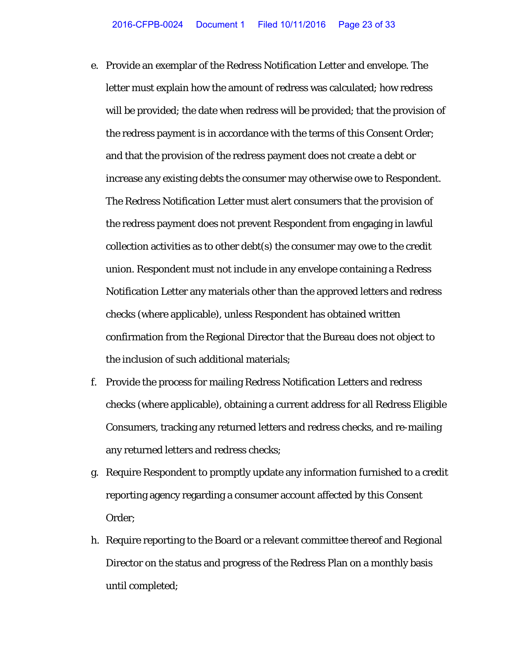- e. Provide an exemplar of the Redress Notification Letter and envelope. The letter must explain how the amount of redress was calculated; how redress will be provided; the date when redress will be provided; that the provision of the redress payment is in accordance with the terms of this Consent Order; and that the provision of the redress payment does not create a debt or increase any existing debts the consumer may otherwise owe to Respondent. The Redress Notification Letter must alert consumers that the provision of the redress payment does not prevent Respondent from engaging in lawful collection activities as to other debt(s) the consumer may owe to the credit union. Respondent must not include in any envelope containing a Redress Notification Letter any materials other than the approved letters and redress checks (where applicable), unless Respondent has obtained written confirmation from the Regional Director that the Bureau does not object to the inclusion of such additional materials;
- f. Provide the process for mailing Redress Notification Letters and redress checks (where applicable), obtaining a current address for all Redress Eligible Consumers, tracking any returned letters and redress checks, and re-mailing any returned letters and redress checks;
- g. Require Respondent to promptly update any information furnished to a credit reporting agency regarding a consumer account affected by this Consent Order;
- h. Require reporting to the Board or a relevant committee thereof and Regional Director on the status and progress of the Redress Plan on a monthly basis until completed;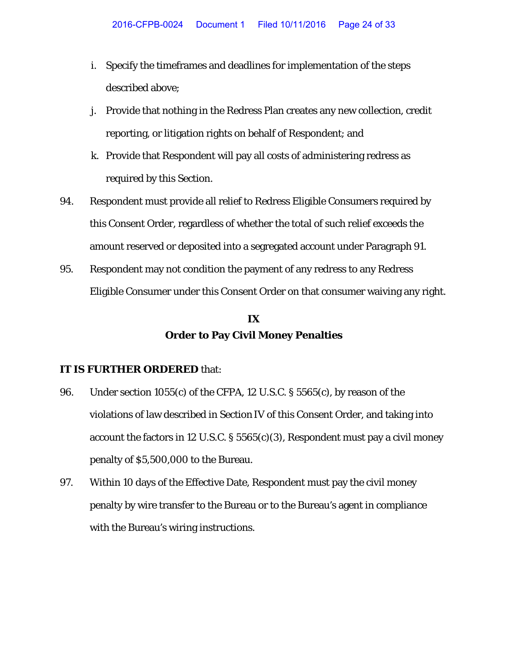- i. Specify the timeframes and deadlines for implementation of the steps described above;
- j. Provide that nothing in the Redress Plan creates any new collection, credit reporting, or litigation rights on behalf of Respondent; and
- k. Provide that Respondent will pay all costs of administering redress as required by this Section.
- 94. Respondent must provide all relief to Redress Eligible Consumers required by this Consent Order, regardless of whether the total of such relief exceeds the amount reserved or deposited into a segregated account under Paragraph 91.
- 95. Respondent may not condition the payment of any redress to any Redress Eligible Consumer under this Consent Order on that consumer waiving any right.

# **IX Order to Pay Civil Money Penalties**

- 96. Under section 1055(c) of the CFPA, 12 U.S.C. § 5565(c), by reason of the violations of law described in Section IV of this Consent Order, and taking into account the factors in 12 U.S.C. § 5565(c)(3), Respondent must pay a civil money penalty of \$5,500,000 to the Bureau.
- 97. Within 10 days of the Effective Date, Respondent must pay the civil money penalty by wire transfer to the Bureau or to the Bureau's agent in compliance with the Bureau's wiring instructions.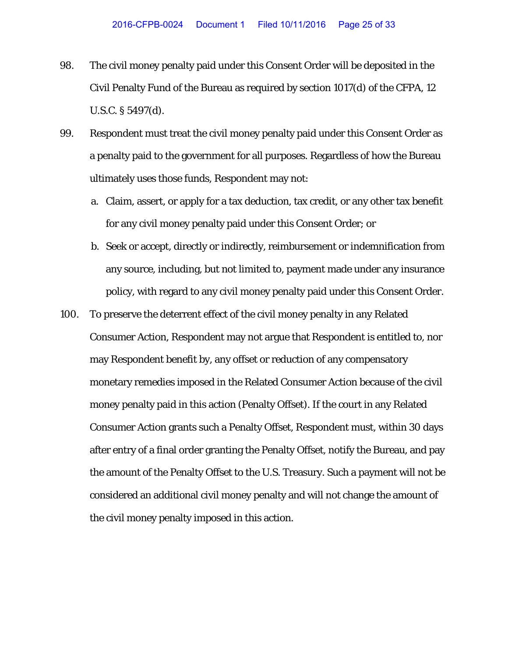- 98. The civil money penalty paid under this Consent Order will be deposited in the Civil Penalty Fund of the Bureau as required by section 1017(d) of the CFPA, 12 U.S.C. § 5497(d).
- 99. Respondent must treat the civil money penalty paid under this Consent Order as a penalty paid to the government for all purposes. Regardless of how the Bureau ultimately uses those funds, Respondent may not:
	- a. Claim, assert, or apply for a tax deduction, tax credit, or any other tax benefit for any civil money penalty paid under this Consent Order; or
	- b. Seek or accept, directly or indirectly, reimbursement or indemnification from any source, including, but not limited to, payment made under any insurance policy, with regard to any civil money penalty paid under this Consent Order.
- 100. To preserve the deterrent effect of the civil money penalty in any Related Consumer Action, Respondent may not argue that Respondent is entitled to, nor may Respondent benefit by, any offset or reduction of any compensatory monetary remedies imposed in the Related Consumer Action because of the civil money penalty paid in this action (Penalty Offset). If the court in any Related Consumer Action grants such a Penalty Offset, Respondent must, within 30 days after entry of a final order granting the Penalty Offset, notify the Bureau, and pay the amount of the Penalty Offset to the U.S. Treasury. Such a payment will not be considered an additional civil money penalty and will not change the amount of the civil money penalty imposed in this action.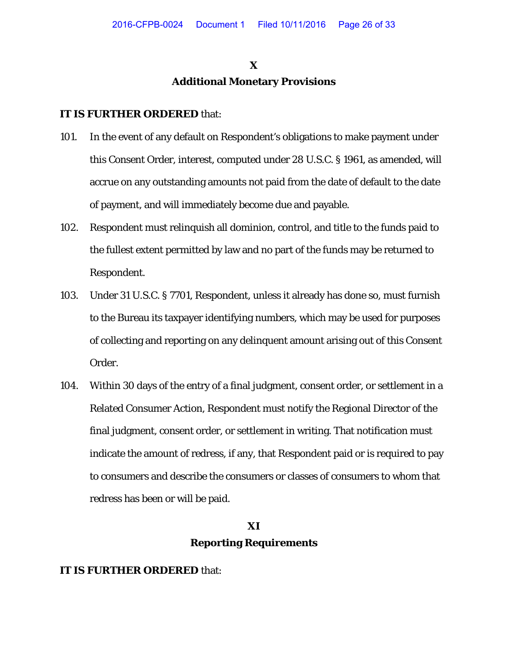# **X Additional Monetary Provisions**

#### **IT IS FURTHER ORDERED** that:

- 101. In the event of any default on Respondent's obligations to make payment under this Consent Order, interest, computed under 28 U.S.C. § 1961, as amended, will accrue on any outstanding amounts not paid from the date of default to the date of payment, and will immediately become due and payable.
- 102. Respondent must relinquish all dominion, control, and title to the funds paid to the fullest extent permitted by law and no part of the funds may be returned to Respondent.
- 103. Under 31 U.S.C. § 7701, Respondent, unless it already has done so, must furnish to the Bureau its taxpayer identifying numbers, which may be used for purposes of collecting and reporting on any delinquent amount arising out of this Consent Order.
- 104. Within 30 days of the entry of a final judgment, consent order, or settlement in a Related Consumer Action, Respondent must notify the Regional Director of the final judgment, consent order, or settlement in writing. That notification must indicate the amount of redress, if any, that Respondent paid or is required to pay to consumers and describe the consumers or classes of consumers to whom that redress has been or will be paid.

### **XI**

### **Reporting Requirements**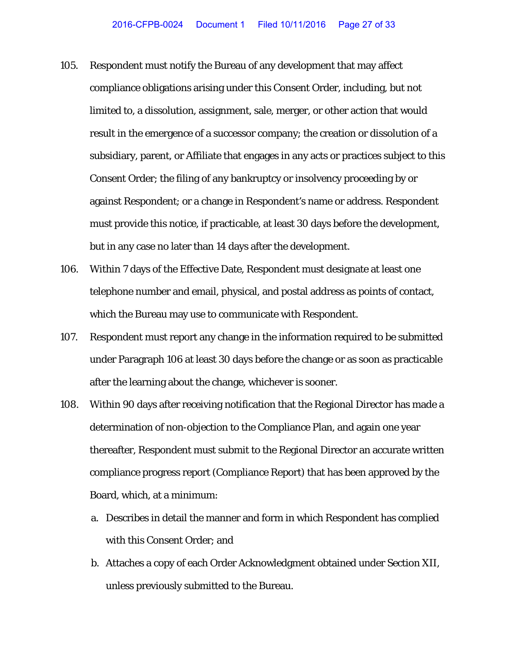- 105. Respondent must notify the Bureau of any development that may affect compliance obligations arising under this Consent Order, including, but not limited to, a dissolution, assignment, sale, merger, or other action that would result in the emergence of a successor company; the creation or dissolution of a subsidiary, parent, or Affiliate that engages in any acts or practices subject to this Consent Order; the filing of any bankruptcy or insolvency proceeding by or against Respondent; or a change in Respondent's name or address. Respondent must provide this notice, if practicable, at least 30 days before the development, but in any case no later than 14 days after the development.
- 106. Within 7 days of the Effective Date, Respondent must designate at least one telephone number and email, physical, and postal address as points of contact, which the Bureau may use to communicate with Respondent.
- 107. Respondent must report any change in the information required to be submitted under Paragraph 106 at least 30 days before the change or as soon as practicable after the learning about the change, whichever is sooner.
- 108. Within 90 days after receiving notification that the Regional Director has made a determination of non-objection to the Compliance Plan, and again one year thereafter, Respondent must submit to the Regional Director an accurate written compliance progress report (Compliance Report) that has been approved by the Board, which, at a minimum:
	- a. Describes in detail the manner and form in which Respondent has complied with this Consent Order; and
	- b. Attaches a copy of each Order Acknowledgment obtained under Section XII, unless previously submitted to the Bureau.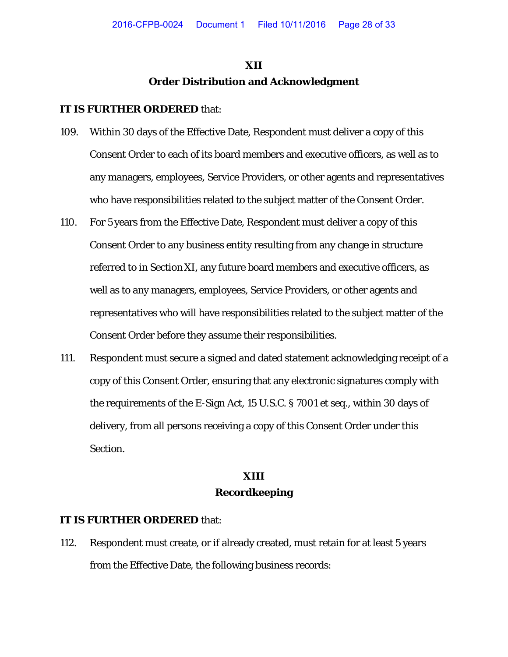# **XII Order Distribution and Acknowledgment**

#### **IT IS FURTHER ORDERED** that:

- 109. Within 30 days of the Effective Date, Respondent must deliver a copy of this Consent Order to each of its board members and executive officers, as well as to any managers, employees, Service Providers, or other agents and representatives who have responsibilities related to the subject matter of the Consent Order.
- 110. For 5 years from the Effective Date, Respondent must deliver a copy of this Consent Order to any business entity resulting from any change in structure referred to in Section XI, any future board members and executive officers, as well as to any managers, employees, Service Providers, or other agents and representatives who will have responsibilities related to the subject matter of the Consent Order before they assume their responsibilities.
- 111. Respondent must secure a signed and dated statement acknowledging receipt of a copy of this Consent Order, ensuring that any electronic signatures comply with the requirements of the E-Sign Act, 15 U.S.C. § 7001 *et seq.*, within 30 days of delivery, from all persons receiving a copy of this Consent Order under this Section.

# **XIII Recordkeeping**

#### **IT IS FURTHER ORDERED** that:

112. Respondent must create, or if already created, must retain for at least 5 years from the Effective Date, the following business records: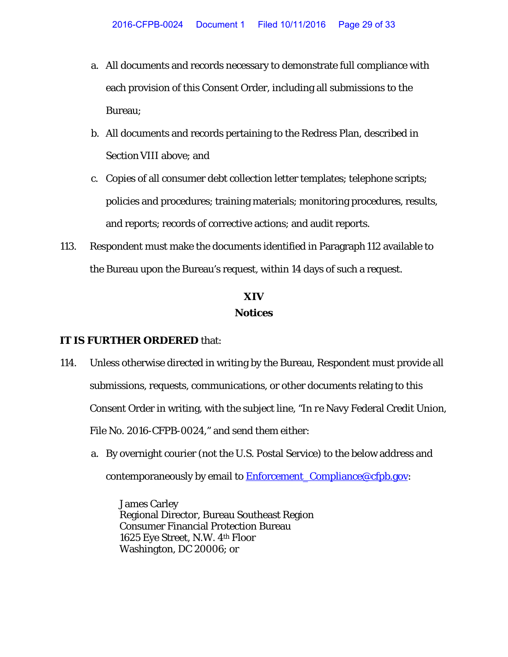- a. All documents and records necessary to demonstrate full compliance with each provision of this Consent Order, including all submissions to the Bureau;
- b. All documents and records pertaining to the Redress Plan, described in Section VIII above; and
- c. Copies of all consumer debt collection letter templates; telephone scripts; policies and procedures; training materials; monitoring procedures, results, and reports; records of corrective actions; and audit reports.
- 113. Respondent must make the documents identified in Paragraph 112 available to the Bureau upon the Bureau's request, within 14 days of such a request.

# **XIV Notices**

#### **IT IS FURTHER ORDERED** that:

- 114. Unless otherwise directed in writing by the Bureau, Respondent must provide all submissions, requests, communications, or other documents relating to this Consent Order in writing, with the subject line, "*In re* Navy Federal Credit Union, File No. 2016-CFPB-0024," and send them either:
	- a. By overnight courier (not the U.S. Postal Service) to the below address and contemporaneously by email to **Enforcement** Compliance @cfpb.gov:

James Carley Regional Director, Bureau Southeast Region Consumer Financial Protection Bureau 1625 Eye Street, N.W. 4th Floor Washington, DC 20006; or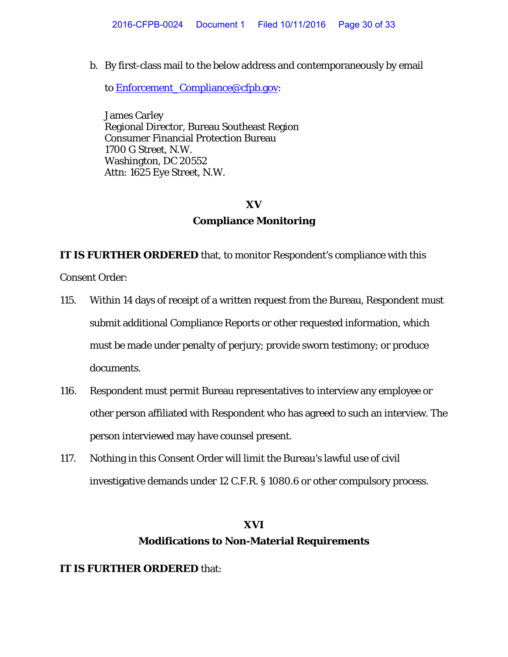b. By first-class mail to the below address and contemporaneously by email

to [Enforcement\\_Compliance@cfpb.gov:](mailto:Enforcement_Compliance@cfpb.gov)

James Carley Regional Director, Bureau Southeast Region Consumer Financial Protection Bureau 1700 G Street, N.W. Washington, DC 20552 Attn: 1625 Eye Street, N.W.

#### **XV**

#### **Compliance Monitoring**

**IT IS FURTHER ORDERED** that, to monitor Respondent's compliance with this

Consent Order:

- 115. Within 14 days of receipt of a written request from the Bureau, Respondent must submit additional Compliance Reports or other requested information, which must be made under penalty of perjury; provide sworn testimony; or produce documents.
- 116. Respondent must permit Bureau representatives to interview any employee or other person affiliated with Respondent who has agreed to such an interview. The person interviewed may have counsel present.
- 117. Nothing in this Consent Order will limit the Bureau's lawful use of civil investigative demands under 12 C.F.R. § 1080.6 or other compulsory process.

### **XVI**

### **Modifications to Non-Material Requirements**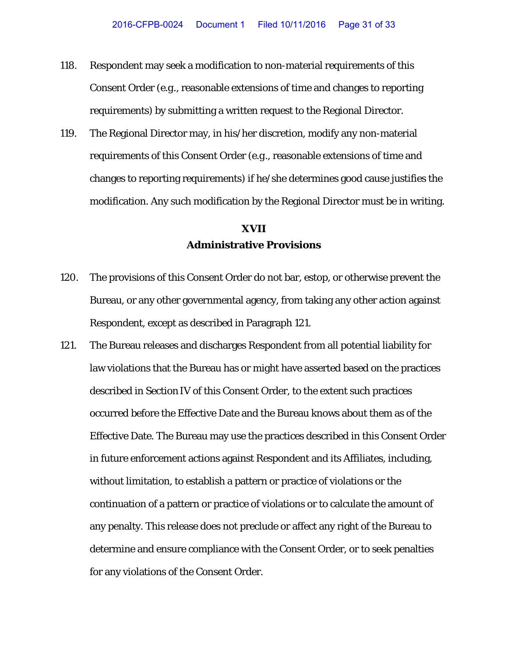- 118. Respondent may seek a modification to non-material requirements of this Consent Order (*e.g*., reasonable extensions of time and changes to reporting requirements) by submitting a written request to the Regional Director.
- 119. The Regional Director may, in his/her discretion, modify any non-material requirements of this Consent Order (*e.g*., reasonable extensions of time and changes to reporting requirements) if he/she determines good cause justifies the modification. Any such modification by the Regional Director must be in writing.

# **XVII Administrative Provisions**

- 120. The provisions of this Consent Order do not bar, estop, or otherwise prevent the Bureau, or any other governmental agency, from taking any other action against Respondent, except as described in Paragraph 121.
- 121. The Bureau releases and discharges Respondent from all potential liability for law violations that the Bureau has or might have asserted based on the practices described in Section IV of this Consent Order, to the extent such practices occurred before the Effective Date and the Bureau knows about them as of the Effective Date. The Bureau may use the practices described in this Consent Order in future enforcement actions against Respondent and its Affiliates, including, without limitation, to establish a pattern or practice of violations or the continuation of a pattern or practice of violations or to calculate the amount of any penalty. This release does not preclude or affect any right of the Bureau to determine and ensure compliance with the Consent Order, or to seek penalties for any violations of the Consent Order.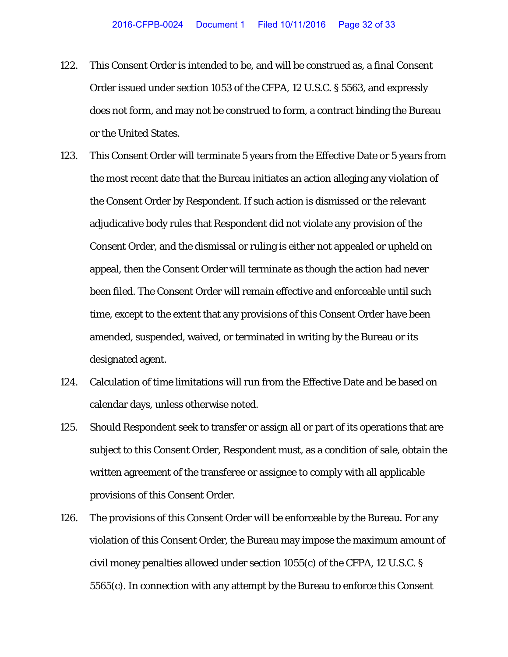- 122. This Consent Order is intended to be, and will be construed as, a final Consent Order issued under section 1053 of the CFPA, 12 U.S.C. § 5563, and expressly does not form, and may not be construed to form, a contract binding the Bureau or the United States.
- 123. This Consent Order will terminate 5 years from the Effective Date or 5 years from the most recent date that the Bureau initiates an action alleging any violation of the Consent Order by Respondent. If such action is dismissed or the relevant adjudicative body rules that Respondent did not violate any provision of the Consent Order, and the dismissal or ruling is either not appealed or upheld on appeal, then the Consent Order will terminate as though the action had never been filed. The Consent Order will remain effective and enforceable until such time, except to the extent that any provisions of this Consent Order have been amended, suspended, waived, or terminated in writing by the Bureau or its designated agent.
- 124. Calculation of time limitations will run from the Effective Date and be based on calendar days, unless otherwise noted.
- 125. Should Respondent seek to transfer or assign all or part of its operations that are subject to this Consent Order, Respondent must, as a condition of sale, obtain the written agreement of the transferee or assignee to comply with all applicable provisions of this Consent Order.
- 126. The provisions of this Consent Order will be enforceable by the Bureau. For any violation of this Consent Order, the Bureau may impose the maximum amount of civil money penalties allowed under section 1055(c) of the CFPA, 12 U.S.C. § 5565(c). In connection with any attempt by the Bureau to enforce this Consent